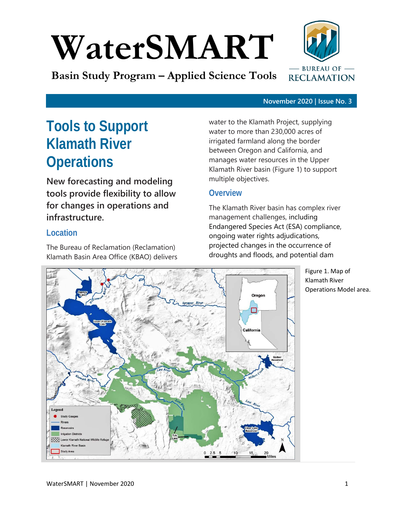# **WaterSMART**

**Basin Study Program – Applied Science Tools**



#### **November 2020 | Issue No. 3**

# **Tools to Support Klamath River Operations**

**New forecasting and modeling tools provide flexibility to allow for changes in operations and infrastructure.**

# **Location**

The Bureau of Reclamation (Reclamation) Klamath Basin Area Office (KBAO) delivers water to the Klamath Project, supplying water to more than 230,000 acres of irrigated farmland along the border between Oregon and California, and manages water resources in the Upper Klamath River basin (Figure 1) to support multiple objectives.

# **Overview**

The Klamath River basin has complex river management challenges, including Endangered Species Act (ESA) compliance, ongoing water rights adjudications, projected changes in the occurrence of droughts and floods, and potential dam



Figure 1. Map of Klamath River Operations Model area.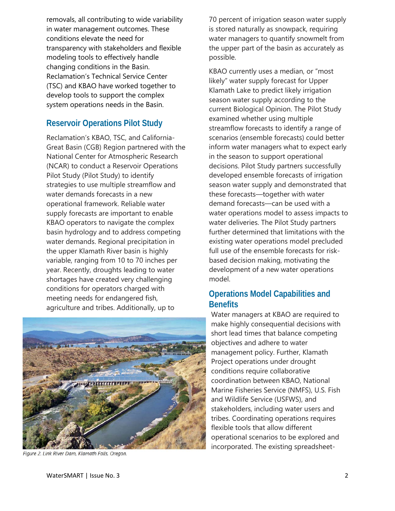removals, all contributing to wide variability in water management outcomes. These conditions elevate the need for transparency with stakeholders and flexible modeling tools to effectively handle changing conditions in the Basin. Reclamation's Technical Service Center (TSC) and KBAO have worked together to develop tools to support the complex system operations needs in the Basin.

# **Reservoir Operations Pilot Study**

Reclamation's KBAO, TSC, and California-Great Basin (CGB) Region partnered with the National Center for Atmospheric Research (NCAR) to conduct a Reservoir Operations Pilot Study (Pilot Study) to identify strategies to use multiple streamflow and water demands forecasts in a new operational framework. Reliable water supply forecasts are important to enable KBAO operators to navigate the complex basin hydrology and to address competing water demands. Regional precipitation in the upper Klamath River basin is highly variable, ranging from 10 to 70 inches per year. Recently, droughts leading to water shortages have created very challenging conditions for operators charged with meeting needs for endangered fish, agriculture and tribes. Additionally, up to



Figure 2. Link River Dam, Klamath Falls, Oregon.

70 percent of irrigation season water supply is stored naturally as snowpack, requiring water managers to quantify snowmelt from the upper part of the basin as accurately as possible.

KBAO currently uses a median, or "most likely" water supply forecast for Upper Klamath Lake to predict likely irrigation season water supply according to the current Biological Opinion. The Pilot Study examined whether using multiple streamflow forecasts to identify a range of scenarios (ensemble forecasts) could better inform water managers what to expect early in the season to support operational decisions. Pilot Study partners successfully developed ensemble forecasts of irrigation season water supply and demonstrated that these forecasts—together with water demand forecasts—can be used with a water operations model to assess impacts to water deliveries. The Pilot Study partners further determined that limitations with the existing water operations model precluded full use of the ensemble forecasts for riskbased decision making, motivating the development of a new water operations model.

# **Operations Model Capabilities and Benefits**

Water managers at KBAO are required to make highly consequential decisions with short lead times that balance competing objectives and adhere to water management policy. Further, Klamath Project operations under drought conditions require collaborative coordination between KBAO, National Marine Fisheries Service (NMFS), U.S. Fish and Wildlife Service (USFWS), and stakeholders, including water users and tribes. Coordinating operations requires flexible tools that allow different operational scenarios to be explored and incorporated. The existing spreadsheet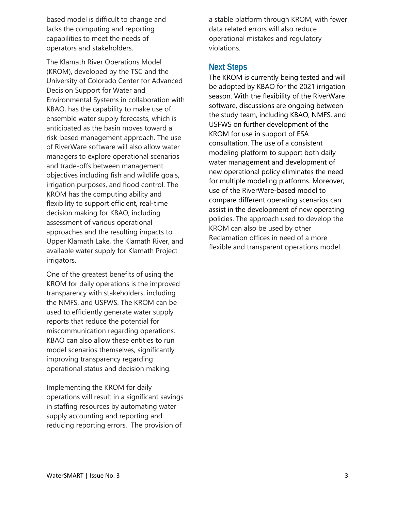based model is difficult to change and lacks the computing and reporting capabilities to meet the needs of operators and stakeholders.

The Klamath River Operations Model (KROM), developed by the TSC and the University of Colorado Center for Advanced Decision Support for Water and Environmental Systems in collaboration with KBAO, has the capability to make use of ensemble water supply forecasts, which is anticipated as the basin moves toward a risk-based management approach. The use of RiverWare software will also allow water managers to explore operational scenarios and trade-offs between management objectives including fish and wildlife goals, irrigation purposes, and flood control. The KROM has the computing ability and flexibility to support efficient, real-time decision making for KBAO, including assessment of various operational approaches and the resulting impacts to Upper Klamath Lake, the Klamath River, and available water supply for Klamath Project irrigators.

One of the greatest benefits of using the KROM for daily operations is the improved transparency with stakeholders, including the NMFS, and USFWS. The KROM can be used to efficiently generate water supply reports that reduce the potential for miscommunication regarding operations. KBAO can also allow these entities to run model scenarios themselves, significantly improving transparency regarding operational status and decision making.

Implementing the KROM for daily operations will result in a significant savings in staffing resources by automating water supply accounting and reporting and reducing reporting errors. The provision of

a stable platform through KROM, with fewer data related errors will also reduce operational mistakes and regulatory violations.

## **Next Steps**

The KROM is currently being tested and will be adopted by KBAO for the 2021 irrigation season. With the flexibility of the RiverWare software, discussions are ongoing between the study team, including KBAO, NMFS, and USFWS on further development of the KROM for use in support of ESA consultation. The use of a consistent modeling platform to support both daily water management and development of new operational policy eliminates the need for multiple modeling platforms. Moreover, use of the RiverWare-based model to compare different operating scenarios can assist in the development of new operating policies. The approach used to develop the KROM can also be used by other Reclamation offices in need of a more flexible and transparent operations model.